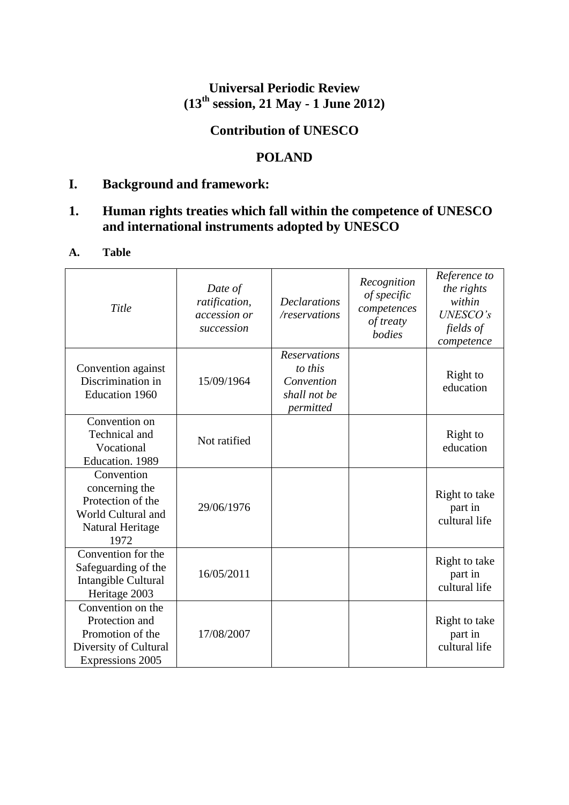# **Universal Periodic Review (13th session, 21 May - 1 June 2012)**

# **Contribution of UNESCO**

# **POLAND**

# **I. Background and framework:**

# **1. Human rights treaties which fall within the competence of UNESCO and international instruments adopted by UNESCO**

## **A. Table**

| Title                                                                                                | Date of<br>ratification,<br>accession or<br>succession | <b>Declarations</b><br>/reservations                                      | Recognition<br>of specific<br>competences<br>of treaty<br>bodies | Reference to<br>the rights<br>within<br><b>UNESCO's</b><br>fields of<br>competence |
|------------------------------------------------------------------------------------------------------|--------------------------------------------------------|---------------------------------------------------------------------------|------------------------------------------------------------------|------------------------------------------------------------------------------------|
| Convention against<br>Discrimination in<br>Education 1960                                            | 15/09/1964                                             | <b>Reservations</b><br>to this<br>Convention<br>shall not be<br>permitted |                                                                  | Right to<br>education                                                              |
| Convention on<br>Technical and<br>Vocational<br>Education. 1989                                      | Not ratified                                           |                                                                           |                                                                  | Right to<br>education                                                              |
| Convention<br>concerning the<br>Protection of the<br>World Cultural and<br>Natural Heritage<br>1972  | 29/06/1976                                             |                                                                           |                                                                  | Right to take<br>part in<br>cultural life                                          |
| Convention for the<br>Safeguarding of the<br>Intangible Cultural<br>Heritage 2003                    | 16/05/2011                                             |                                                                           |                                                                  | Right to take<br>part in<br>cultural life                                          |
| Convention on the<br>Protection and<br>Promotion of the<br>Diversity of Cultural<br>Expressions 2005 | 17/08/2007                                             |                                                                           |                                                                  | Right to take<br>part in<br>cultural life                                          |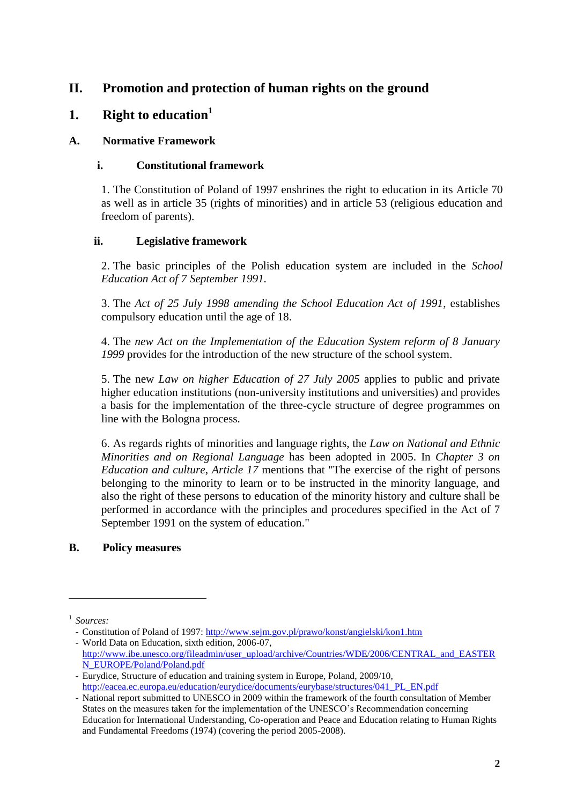# **II. Promotion and protection of human rights on the ground**

# **1. Right to education<sup>1</sup>**

#### **A. Normative Framework**

#### **i. Constitutional framework**

1. The Constitution of Poland of 1997 enshrines the right to education in its Article 70 as well as in article 35 (rights of minorities) and in article 53 (religious education and freedom of parents).

## **ii. Legislative framework**

2. The basic principles of the Polish education system are included in the *School Education Act of 7 September 1991.*

3. The *Act of 25 July 1998 amending the School Education Act of 1991*, establishes compulsory education until the age of 18.

4. The *new Act on the Implementation of the Education System reform of 8 January 1999* provides for the introduction of the new structure of the school system.

5. The new *Law on higher Education of 27 July 2005* applies to public and private higher education institutions (non-university institutions and universities) and provides a basis for the implementation of the three-cycle structure of degree programmes on line with the Bologna process.

6. As regards rights of minorities and language rights, the *Law on National and Ethnic Minorities and on Regional Language* has been adopted in 2005. In *Chapter 3 on Education and culture*, *Article 17* mentions that "The exercise of the right of persons belonging to the minority to learn or to be instructed in the minority language, and also the right of these persons to education of the minority history and culture shall be performed in accordance with the principles and procedures specified in the Act of 7 September 1991 on the system of education."

#### **B. Policy measures**

1

<sup>1</sup> *Sources:* 

<sup>-</sup> Constitution of Poland of 1997:<http://www.sejm.gov.pl/prawo/konst/angielski/kon1.htm> - World Data on Education, sixth edition, 2006-07,

[http://www.ibe.unesco.org/fileadmin/user\\_upload/archive/Countries/WDE/2006/CENTRAL\\_and\\_EASTER](http://www.ibe.unesco.org/fileadmin/user_upload/archive/Countries/WDE/2006/CENTRAL_and_EASTERN_EUROPE/Poland/Poland.pdf) [N\\_EUROPE/Poland/Poland.pdf](http://www.ibe.unesco.org/fileadmin/user_upload/archive/Countries/WDE/2006/CENTRAL_and_EASTERN_EUROPE/Poland/Poland.pdf)

<sup>-</sup> Eurydice, Structure of education and training system in Europe, Poland, 2009/10, [http://eacea.ec.europa.eu/education/eurydice/documents/eurybase/structures/041\\_PL\\_EN.pdf](http://eacea.ec.europa.eu/education/eurydice/documents/eurybase/structures/041_PL_EN.pdf)

<sup>-</sup> National report submitted to UNESCO in 2009 within the framework of the fourth consultation of Member States on the measures taken for the implementation of the UNESCO's Recommendation concerning Education for International Understanding, Co-operation and Peace and Education relating to Human Rights and Fundamental Freedoms (1974) (covering the period 2005-2008).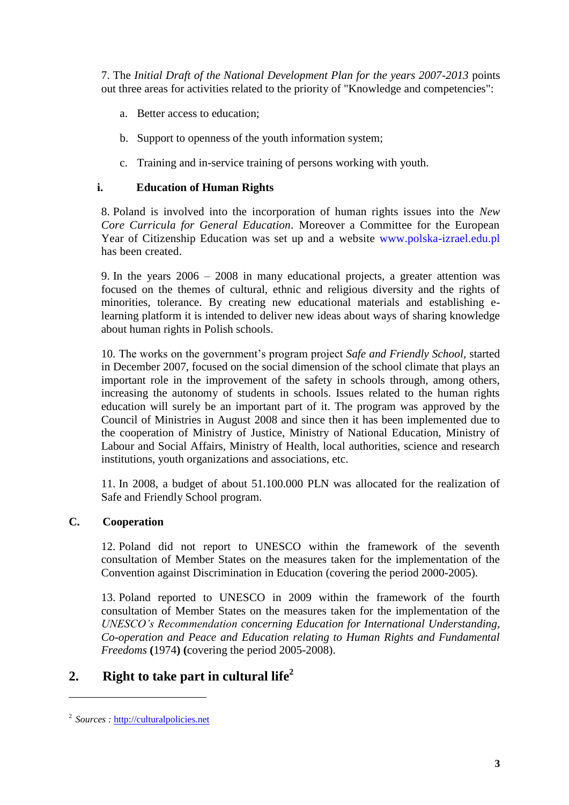7. The *Initial Draft of the National Development Plan for the years 2007-2013* points out three areas for activities related to the priority of "Knowledge and competencies":

- a. Better access to education;
- b. Support to openness of the youth information system;
- c. Training and in-service training of persons working with youth.

#### **i. Education of Human Rights**

8. Poland is involved into the incorporation of human rights issues into the *New Core Curricula for General Education.* Moreover a Committee for the European Year of Citizenship Education was set up and a website [www.polska-izrael.edu.pl](http://www.polska-izrael.edu.pl/) has been created.

9. In the years 2006 – 2008 in many educational projects, a greater attention was focused on the themes of cultural, ethnic and religious diversity and the rights of minorities, tolerance. By creating new educational materials and establishing elearning platform it is intended to deliver new ideas about ways of sharing knowledge about human rights in Polish schools.

10. The works on the government's program project *Safe and Friendly School,* started in December 2007, focused on the social dimension of the school climate that plays an important role in the improvement of the safety in schools through, among others, increasing the autonomy of students in schools. Issues related to the human rights education will surely be an important part of it. The program was approved by the Council of Ministries in August 2008 and since then it has been implemented due to the cooperation of Ministry of Justice, Ministry of National Education, Ministry of Labour and Social Affairs, Ministry of Health, local authorities, science and research institutions, youth organizations and associations, etc.

11. In 2008, a budget of about 51.100.000 PLN was allocated for the realization of Safe and Friendly School program.

#### **C. Cooperation**

12. Poland did not report to UNESCO within the framework of the seventh consultation of Member States on the measures taken for the implementation of the Convention against Discrimination in Education (covering the period 2000-2005).

13. Poland reported to UNESCO in 2009 within the framework of the fourth consultation of Member States on the measures taken for the implementation of the *UNESCO's Recommendation concerning Education for International Understanding, Co-operation and Peace and Education relating to Human Rights and Fundamental Freedoms* **(**1974**) (**covering the period 2005-2008).

# **2. Right to take part in cultural life<sup>2</sup>**

**.** 

<sup>&</sup>lt;sup>2</sup> Sources : [http://culturalpolicies.net](http://culturalpolicies.net/)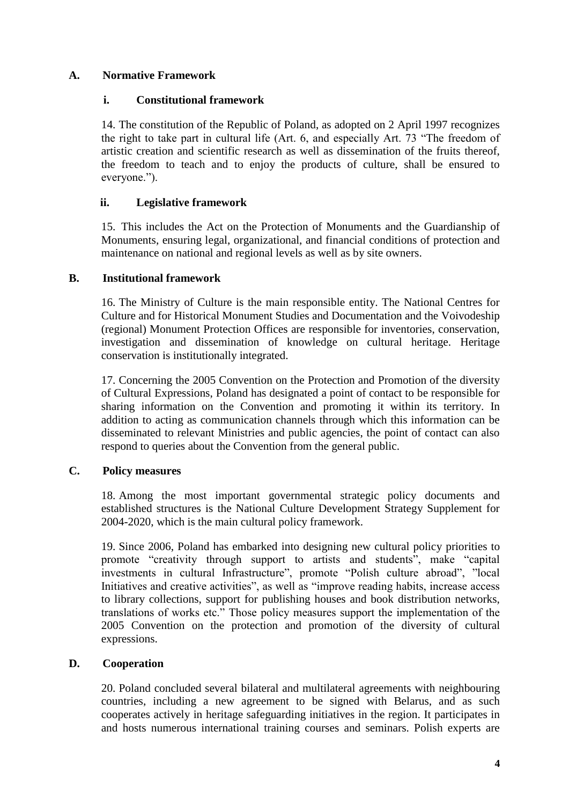#### **A. Normative Framework**

#### **i. Constitutional framework**

14. The constitution of the Republic of Poland, as adopted on 2 April 1997 recognizes the right to take part in cultural life  $(Art. 6)$ , and especially Art. 73 "The freedom of artistic creation and scientific research as well as dissemination of the fruits thereof, the freedom to teach and to enjoy the products of culture, shall be ensured to everyone.").

#### **ii. Legislative framework**

15. This includes the Act on the Protection of Monuments and the Guardianship of Monuments, ensuring legal, organizational, and financial conditions of protection and maintenance on national and regional levels as well as by site owners.

#### **B. Institutional framework**

16. The Ministry of Culture is the main responsible entity. The National Centres for Culture and for Historical Monument Studies and Documentation and the Voivodeship (regional) Monument Protection Offices are responsible for inventories, conservation, investigation and dissemination of knowledge on cultural heritage. Heritage conservation is institutionally integrated.

17. Concerning the 2005 Convention on the Protection and Promotion of the diversity of Cultural Expressions, Poland has designated a point of contact to be responsible for sharing information on the Convention and promoting it within its territory. In addition to acting as communication channels through which this information can be disseminated to relevant Ministries and public agencies, the point of contact can also respond to queries about the Convention from the general public.

#### **C. Policy measures**

18. Among the most important governmental strategic policy documents and established structures is the National Culture Development Strategy Supplement for 2004-2020, which is the main cultural policy framework.

19. Since 2006, Poland has embarked into designing new cultural policy priorities to promote "creativity through support to artists and students", make "capital investments in cultural Infrastructure", promote "Polish culture abroad", "local Initiatives and creative activities", as well as "improve reading habits, increase access" to library collections, support for publishing houses and book distribution networks, translations of works etc.‖ Those policy measures support the implementation of the 2005 Convention on the protection and promotion of the diversity of cultural expressions.

#### **D. Cooperation**

20. Poland concluded several bilateral and multilateral agreements with neighbouring countries, including a new agreement to be signed with Belarus, and as such cooperates actively in heritage safeguarding initiatives in the region. It participates in and hosts numerous international training courses and seminars. Polish experts are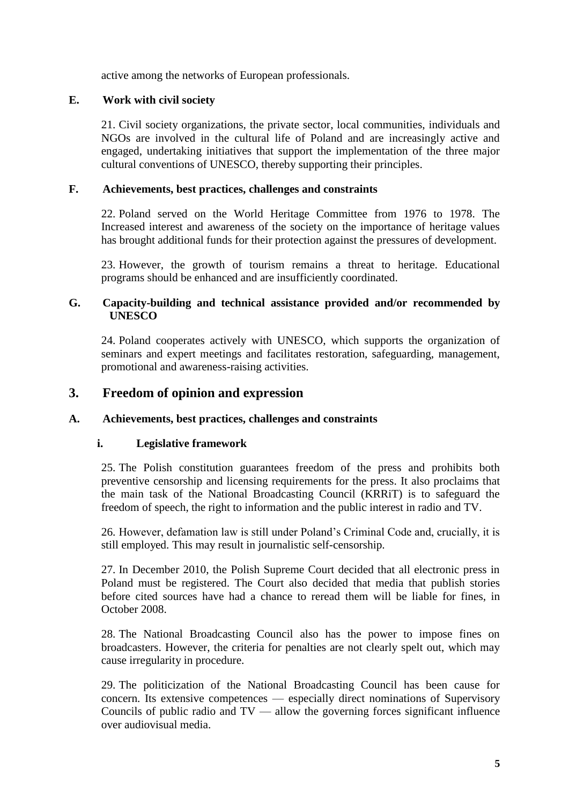active among the networks of European professionals.

#### **E. Work with civil society**

21. Civil society organizations, the private sector, local communities, individuals and NGOs are involved in the cultural life of Poland and are increasingly active and engaged, undertaking initiatives that support the implementation of the three major cultural conventions of UNESCO, thereby supporting their principles.

#### **F. Achievements, best practices, challenges and constraints**

22. Poland served on the World Heritage Committee from 1976 to 1978. The Increased interest and awareness of the society on the importance of heritage values has brought additional funds for their protection against the pressures of development.

23. However, the growth of tourism remains a threat to heritage. Educational programs should be enhanced and are insufficiently coordinated.

#### **G. Capacity-building and technical assistance provided and/or recommended by UNESCO**

24. Poland cooperates actively with UNESCO, which supports the organization of seminars and expert meetings and facilitates restoration, safeguarding, management, promotional and awareness-raising activities.

## **3. Freedom of opinion and expression**

#### **A. Achievements, best practices, challenges and constraints**

#### **i. Legislative framework**

25. The Polish constitution guarantees freedom of the press and prohibits both preventive censorship and licensing requirements for the press. It also proclaims that the main task of the National Broadcasting Council (KRRiT) is to safeguard the freedom of speech, the right to information and the public interest in radio and TV.

26. However, defamation law is still under Poland's Criminal Code and, crucially, it is still employed. This may result in journalistic self-censorship.

27. In December 2010, the Polish Supreme Court decided that all electronic press in Poland must be registered. The Court also decided that media that publish stories before cited sources have had a chance to reread them will be liable for fines, in October 2008.

28. The National Broadcasting Council also has the power to impose fines on broadcasters. However, the criteria for penalties are not clearly spelt out, which may cause irregularity in procedure.

29. The politicization of the National Broadcasting Council has been cause for concern. Its extensive competences — especially direct nominations of Supervisory Councils of public radio and  $TV$  — allow the governing forces significant influence over audiovisual media.